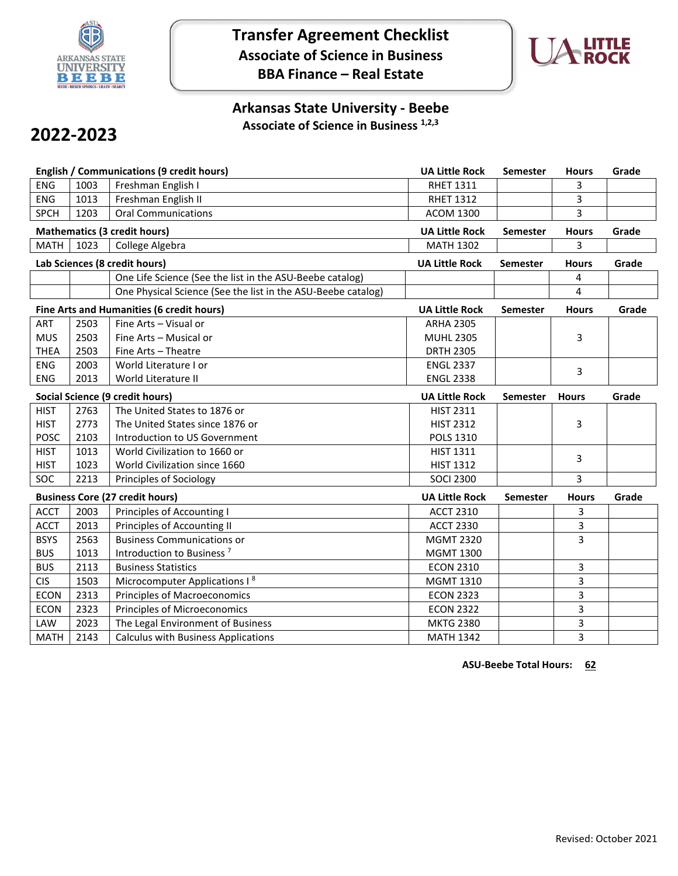

**Transfer Agreement Checklist Associate of Science in Business BBA Finance – Real Estate**



## **Arkansas State University - Beebe Associate of Science in Business 1,2,3**

## **2022-2023**

| <b>English / Communications (9 credit hours)</b> |      |                                                              | <b>UA Little Rock</b> | Semester        | <b>Hours</b> | Grade |
|--------------------------------------------------|------|--------------------------------------------------------------|-----------------------|-----------------|--------------|-------|
| <b>ENG</b>                                       | 1003 | Freshman English I                                           | <b>RHET 1311</b>      |                 | 3            |       |
| <b>ENG</b>                                       | 1013 | Freshman English II                                          | <b>RHET 1312</b>      |                 | 3            |       |
| <b>SPCH</b>                                      | 1203 | <b>Oral Communications</b>                                   | <b>ACOM 1300</b>      |                 | 3            |       |
| <b>Mathematics (3 credit hours)</b>              |      |                                                              | <b>UA Little Rock</b> | Semester        | <b>Hours</b> | Grade |
| <b>MATH</b>                                      | 1023 | College Algebra                                              | <b>MATH 1302</b>      |                 | 3            |       |
| Lab Sciences (8 credit hours)                    |      |                                                              | <b>UA Little Rock</b> | Semester        | <b>Hours</b> | Grade |
|                                                  |      | One Life Science (See the list in the ASU-Beebe catalog)     |                       |                 | 4            |       |
|                                                  |      | One Physical Science (See the list in the ASU-Beebe catalog) |                       |                 | 4            |       |
| Fine Arts and Humanities (6 credit hours)        |      |                                                              | <b>UA Little Rock</b> | <b>Semester</b> | <b>Hours</b> | Grade |
| ART                                              | 2503 | Fine Arts - Visual or                                        | <b>ARHA 2305</b>      |                 |              |       |
| <b>MUS</b>                                       | 2503 | Fine Arts - Musical or                                       | <b>MUHL 2305</b>      |                 | 3            |       |
| <b>THEA</b>                                      | 2503 | Fine Arts - Theatre                                          | <b>DRTH 2305</b>      |                 |              |       |
| ENG                                              | 2003 | World Literature I or                                        | <b>ENGL 2337</b>      |                 | 3            |       |
| ENG                                              | 2013 | World Literature II                                          | <b>ENGL 2338</b>      |                 |              |       |
| Social Science (9 credit hours)                  |      |                                                              | <b>UA Little Rock</b> | <b>Semester</b> | <b>Hours</b> | Grade |
| <b>HIST</b>                                      | 2763 | The United States to 1876 or                                 | <b>HIST 2311</b>      |                 |              |       |
| <b>HIST</b>                                      | 2773 | The United States since 1876 or                              | <b>HIST 2312</b>      |                 | 3            |       |
| POSC                                             | 2103 | Introduction to US Government                                | <b>POLS 1310</b>      |                 |              |       |
| <b>HIST</b>                                      | 1013 | World Civilization to 1660 or                                | <b>HIST 1311</b>      |                 | 3            |       |
| <b>HIST</b>                                      | 1023 | World Civilization since 1660                                | <b>HIST 1312</b>      |                 |              |       |
| SOC                                              | 2213 | Principles of Sociology                                      | <b>SOCI 2300</b>      |                 | 3            |       |
| <b>Business Core (27 credit hours)</b>           |      |                                                              | <b>UA Little Rock</b> | <b>Semester</b> | <b>Hours</b> | Grade |
| <b>ACCT</b>                                      | 2003 | Principles of Accounting I                                   | <b>ACCT 2310</b>      |                 | 3            |       |
| <b>ACCT</b>                                      | 2013 | Principles of Accounting II                                  | <b>ACCT 2330</b>      |                 | 3            |       |
| <b>BSYS</b>                                      | 2563 | <b>Business Communications or</b>                            | <b>MGMT 2320</b>      |                 | 3            |       |
| <b>BUS</b>                                       | 1013 | Introduction to Business <sup>7</sup>                        | <b>MGMT 1300</b>      |                 |              |       |
| <b>BUS</b>                                       | 2113 | <b>Business Statistics</b>                                   | <b>ECON 2310</b>      |                 | 3            |       |
| <b>CIS</b>                                       | 1503 | Microcomputer Applications I <sup>8</sup>                    | <b>MGMT 1310</b>      |                 | 3            |       |
| <b>ECON</b>                                      | 2313 | <b>Principles of Macroeconomics</b>                          | <b>ECON 2323</b>      |                 | 3            |       |
| <b>ECON</b>                                      | 2323 | <b>Principles of Microeconomics</b>                          | <b>ECON 2322</b>      |                 | 3            |       |
| LAW                                              | 2023 | The Legal Environment of Business                            | <b>MKTG 2380</b>      |                 | 3            |       |
| <b>MATH</b>                                      | 2143 | <b>Calculus with Business Applications</b>                   | <b>MATH 1342</b>      |                 | 3            |       |

**ASU-Beebe Total Hours: 62**